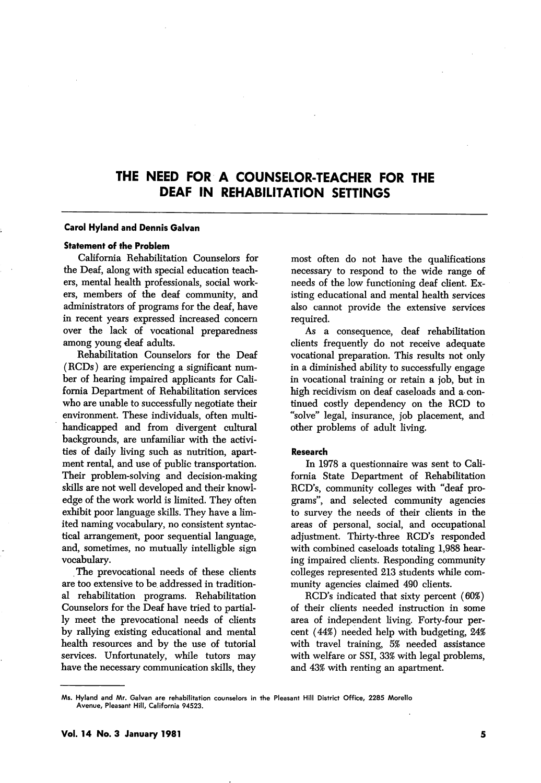# THE NEED FOR A COUNSELOR-TEACHER FOR THE DEAF IN REHABILITATION SETTINGS

### Carol Hyland and Dennis Galvan

## Statement of the Problem

California Rehabilitation Counselors for the Deaf, along with special education teach ers, mental health professionals, social work ers, members of the deaf community, and administrators of programs for the deaf, have in recent years expressed increased concern over the lack of vocational preparedness among young deaf adults.

Rehabilitation Counselors for the Deaf (RCDs) are experiencing a significant num ber of hearing impaired applicants for Cali fornia Department of Rehabilitation services who are unable to successfully negotiate their environment. These individuals, often multihandicapped and from divergent cultural backgrounds, are unfamiliar with the activi ties of daily living such as nutrition, apart ment rental, and use of public transportation. Their problem-solving and decision-making skills are not well developed and their knowl edge of the work world is limited. They often exhibit poor language skills. They have a lim ited naming vocabulary, no consistent syntac tical arrangement, poor sequential language, and, sometimes, no mutually intelligble sign vocabulary.

The prevocational needs of these clients are too extensive to be addressed in tradition al rehabilitation programs. Rehabilitation Counselors for the Deaf have tried to partial ly meet the prevocational needs of clients by rallying existing educational and mental health resources and by the use of tutorial services. Unfortunately, while tutors may have the necessary communication skills, they

most often do not have the qualifications necessary to respond to the wide range of needs of the low functioning deaf client. Ex isting educational and mental health services also cannot provide the extensive services required.

As a consequence, deaf rehabilitation clients frequently do not receive adequate vocational preparation. This results not only in a diminished ability to successfully engage in vocational training or retain a job, but in high recidivism on deaf caseloads and a- con tinued costly dependency on the RCD to "solve'' legal, insurance, job placement, and other problems of adult living.

#### Research

In 1978 a questionnaire was sent to Cali fornia State Department of Rehabilitation RCD's, community colleges with "deaf programs", and selected community agencies to survey the needs of their clients in the areas of personal, social, and occupational adjustment. Thirty-three RCD's responded with combined caseloads totaling 1,988 hear ing impaired clients. Responding community colleges represented 213 students while com munity agencies claimed 490 clients.

RCD's indicated that sixty percent (60%) of their clients needed instruction in some area of independent living. Forty-four per cent (44%) needed help with budgeting, 24% with travel training, 5% needed assistance with welfare or SSI, 33% with legal problems, and 43% with renting an apartment.

Ms. Hyland and Mr. Galvan are rehabilitation counselors in the Pleasant Hill District Office, 2285 Morello Avenue, Pleasant Hill, California 94523.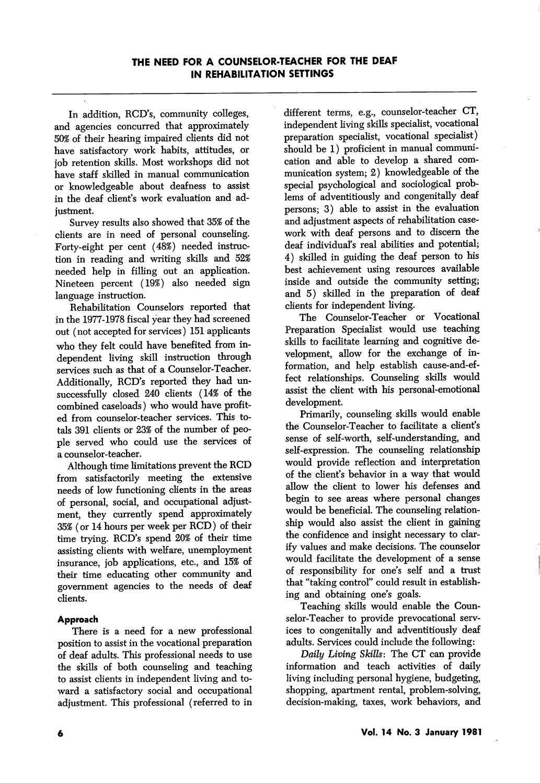In addition, RCD's, community colleges, and agencies concurred that approximately 50% of their hearing impaired clients did not have satisfactory work habits, attitudes, or job retention skills. Most workshops did not have staff skilled in manual communication or knowledgeable about deafness to assist in the deaf client's work evaluation and ad justment.

Survey results also showed that 35% of the clients are in need of personal counseling. Forty-eight per cent (48%) needed instruc tion in reading and writing skills and 52% needed help in filling out an application. Nineteen percent (19%) also needed sign language instruction.

Rehabilitation Counselors reported that in the 1977-1978 fiscal year they had screened out (not accepted for services) 151 applicants who they felt could have benefited from in dependent living skill instruction through services such as that of a Counselor-Teacher. Additionally, RCD's reported they had un successfully closed 240 clients (14% of the combined caseloads) who would have profit ed from counselor-teacher services. This to tals 391 clients or 23% of the number of peo ple served who could use the services of a counselor-teacher.

Although time limitations prevent the RCD from satisfactorily meeting the extensive needs of low functioning clients in the areas of personal, social, and occupational adjust ment, they currently spend approximately 35% (or 14 hours per week per RCD) of their time trying. RCD's spend 20% of their time assisting clients with welfare, unemployment insurance, job applications, etc., and 15% of their time educating other community and government agencies to the needs of deaf clients.

## Approach

There is a need for a new professional position to assist in the vocational preparation of deaf adults. This professional needs to use the skills of both counseling and teaching to assist clients in independent living and to ward a satisfactory social and occupational adjustment. This professional (referred to in

different terms, e.g., counselor-teacher CT, independent living skills specialist, vocational preparation specialist, vocational specialist) should be 1) proficient in manual communi cation and able to develop a shared com munication system; 2) knowledgeable of the special psychological and sociological prob lems of adventitiously and congenitally deaf persons; 3) able to assist in the evaluation and adjustment aspects of rehabilitation case work with deaf persons and to discern the deaf individual's real abilities and potential; 4) skilled in guiding the deaf person to his best achievement using resources available inside and outside the community setting; and 5) skilled in the preparation of deaf clients for independent living.

The Counselor-Teacher or Vocational Preparation Specialist would use teaching skills to facilitate learning and cognitive de velopment, allow for the exchange of in formation, and help establish cause-and-effect relationships. Counseling skills would assist the client with his personal-emotional development.

Primarily, counseling skills would enable the Counselor-Teacher to facilitate a client's sense of self-worth, self-understanding, and self-expression. The counseling relationship would provide reflection and interpretation of the client's behavior in a way that would allow the client to lower his defenses and begin to see areas where personal changes would be beneficial. The counseling relation ship would also assist the client in gaining the confidence and insight necessary to clar ify values and make decisions. The counselor would facilitate the development of a sense of responsibility for one's self and a trust that "taking control" could result in establish ing and obtaining one's goals.

Teaching skills would enable the Coun selor-Teacher to provide prevocational serv ices to congenitally and adventitiously deaf adults. Services could include the following:

Daily Living Skills: The CT can provide information and teach activities of daily living including personal hygiene, budgeting, shopping, apartment rental, problem-solving, decision-making, taxes, work behaviors, and